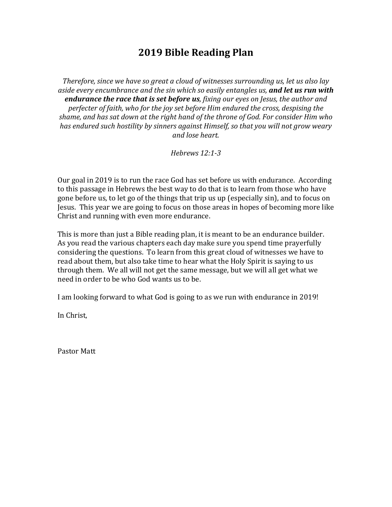## **2019 Bible Reading Plan**

*Therefore, since we have so great a cloud of witnesses surrounding us, let us also lay aside every encumbrance and the sin which so easily entangles us, and let us run with endurance the race that is set before us, fixing our eyes on Jesus, the author and perfecter of faith, who for the joy set before Him endured the cross, despising the* shame, and has sat down at the right hand of the throne of God. For consider Him who has endured such hostility by sinners against Himself, so that you will not grow weary *and lose heart.*

*Hebrews 12:1-3*

Our goal in 2019 is to run the race God has set before us with endurance. According to this passage in Hebrews the best way to do that is to learn from those who have gone before us, to let go of the things that trip us up (especially sin), and to focus on Jesus. This year we are going to focus on those areas in hopes of becoming more like Christ and running with even more endurance.

This is more than just a Bible reading plan, it is meant to be an endurance builder. As you read the various chapters each day make sure you spend time prayerfully considering the questions. To learn from this great cloud of witnesses we have to read about them, but also take time to hear what the Holy Spirit is saying to us through them. We all will not get the same message, but we will all get what we need in order to be who God wants us to be.

I am looking forward to what God is going to as we run with endurance in 2019!

In Christ,

Pastor Matt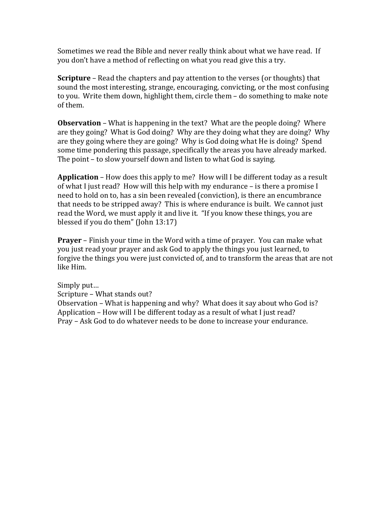Sometimes we read the Bible and never really think about what we have read. If you don't have a method of reflecting on what you read give this a try.

**Scripture** – Read the chapters and pay attention to the verses (or thoughts) that sound the most interesting, strange, encouraging, convicting, or the most confusing to you. Write them down, highlight them, circle them - do something to make note of them.

**Observation** – What is happening in the text? What are the people doing? Where are they going? What is God doing? Why are they doing what they are doing? Why are they going where they are going? Why is God doing what He is doing? Spend some time pondering this passage, specifically the areas you have already marked. The point  $-$  to slow yourself down and listen to what God is saying.

**Application** – How does this apply to me? How will I be different today as a result of what I just read? How will this help with my endurance  $-$  is there a promise I need to hold on to, has a sin been revealed (conviction), is there an encumbrance that needs to be stripped away? This is where endurance is built. We cannot just read the Word, we must apply it and live it. "If you know these things, you are blessed if you do them" (John  $13:17$ )

**Prayer** – Finish your time in the Word with a time of prayer. You can make what you just read your prayer and ask God to apply the things you just learned, to forgive the things you were just convicted of, and to transform the areas that are not like Him.

Simply put... Scripture - What stands out? Observation – What is happening and why? What does it say about who God is? Application – How will I be different today as a result of what I just read? Pray – Ask God to do whatever needs to be done to increase your endurance.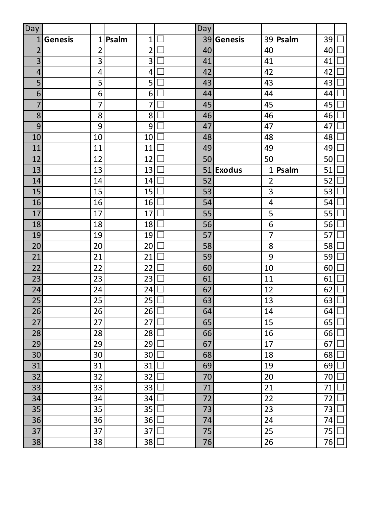| Day             |                |                 |       |                | Day |                |                |          |    |  |
|-----------------|----------------|-----------------|-------|----------------|-----|----------------|----------------|----------|----|--|
| 1               | <b>Genesis</b> | 1               | Psalm | $\mathbf{1}$   | 39  | <b>Genesis</b> |                | 39 Psalm | 39 |  |
| $\overline{2}$  |                | $\overline{2}$  |       | $\overline{2}$ | 40  |                | 40             |          | 40 |  |
| 3               |                | 3               |       | 3              | 41  |                | 41             |          | 41 |  |
| 4               |                | $\overline{4}$  |       | 4              | 42  |                | 42             |          | 42 |  |
| 5               |                | 5               |       | 5              | 43  |                | 43             |          | 43 |  |
| 6               |                | 6               |       | 6              | 44  |                | 44             |          | 44 |  |
| 7               |                | 7               |       | 7              | 45  |                | 45             |          | 45 |  |
| 8               |                | 8               |       | 8              | 46  |                | 46             |          | 46 |  |
| 9               |                | 9               |       | 9              | 47  |                | 47             |          | 47 |  |
| 10              |                | 10              |       | 10             | 48  |                | 48             |          | 48 |  |
| 11              |                | 11              |       | 11             | 49  |                | 49             |          | 49 |  |
| 12              |                | 12              |       | 12             | 50  |                | 50             |          | 50 |  |
| 13              |                | 13              |       | 13             | 51  | <b>Exodus</b>  | 1              | Psalm    | 51 |  |
| 14              |                | 14              |       | 14             | 52  |                | $\overline{2}$ |          | 52 |  |
| 15              |                | 15              |       | 15             | 53  |                | 3              |          | 53 |  |
| 16              |                | 16              |       | 16             | 54  |                | 4              |          | 54 |  |
| 17              |                | 17              |       | 17             | 55  |                | 5              |          | 55 |  |
| 18              |                | 18              |       | 18             | 56  |                | 6              |          | 56 |  |
| 19              |                | 19              |       | 19             | 57  |                | 7              |          | 57 |  |
| 20              |                | 20              |       | 20             | 58  |                | 8              |          | 58 |  |
| 21              |                | 21              |       | 21             | 59  |                | 9              |          | 59 |  |
| 22              |                | 22              |       | 22             | 60  |                | 10             |          | 60 |  |
| 23              |                | 23              |       | 23             | 61  |                | 11             |          | 61 |  |
| 24              |                | 24              |       | 24             | 62  |                | 12             |          | 62 |  |
| 25              |                | 25              |       | 25             | 63  |                | 13             |          | 63 |  |
| $\overline{26}$ |                | $\overline{26}$ |       | $26\Box$       | 64  |                | 14             |          | 64 |  |
| 27              |                | 27              |       | 27             | 65  |                | 15             |          | 65 |  |
| 28              |                | 28              |       | 28             | 66  |                | 16             |          | 66 |  |
| 29              |                | 29              |       | 29             | 67  |                | 17             |          | 67 |  |
| 30              |                | 30              |       | 30             | 68  |                | 18             |          | 68 |  |
| 31              |                | 31              |       | 31             | 69  |                | 19             |          | 69 |  |
| 32              |                | 32              |       | 32             | 70  |                | 20             |          | 70 |  |
| 33              |                | 33              |       | 33             | 71  |                | 21             |          | 71 |  |
| 34              |                | 34              |       | 34             | 72  |                | 22             |          | 72 |  |
| 35              |                | 35              |       | 35             | 73  |                | 23             |          | 73 |  |
| 36              |                | 36              |       | 36             | 74  |                | 24             |          | 74 |  |
| 37              |                | 37              |       | 37             | 75  |                | 25             |          | 75 |  |
| 38              |                | 38              |       | 38             | 76  |                | 26             |          | 76 |  |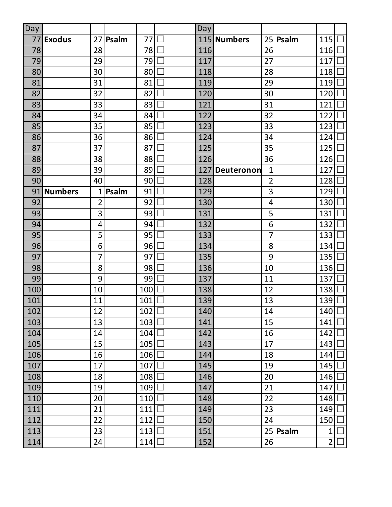| Day |                |                |       |     | Day |             |                |          |                |  |
|-----|----------------|----------------|-------|-----|-----|-------------|----------------|----------|----------------|--|
| 77  | <b>Exodus</b>  | 27             | Psalm | 77  |     | 115 Numbers | 25             | Psalm    | 115            |  |
| 78  |                | 28             |       | 78  | 116 |             | 26             |          | 116            |  |
| 79  |                | 29             |       | 79  | 117 |             | 27             |          | 117            |  |
| 80  |                | 30             |       | 80  | 118 |             | 28             |          | 118            |  |
| 81  |                | 31             |       | 81  | 119 |             | 29             |          | 119            |  |
| 82  |                | 32             |       | 82  | 120 |             | 30             |          | 120            |  |
| 83  |                | 33             |       | 83  | 121 |             | 31             |          | 121            |  |
| 84  |                | 34             |       | 84  | 122 |             | 32             |          | 122            |  |
| 85  |                | 35             |       | 85  | 123 |             | 33             |          | 123            |  |
| 86  |                | 36             |       | 86  | 124 |             | 34             |          | 124            |  |
| 87  |                | 37             |       | 87  | 125 |             | 35             |          | 125            |  |
| 88  |                | 38             |       | 88  | 126 |             | 36             |          | 126            |  |
| 89  |                | 39             |       | 89  | 127 | Deuteronon  | 1              |          | 127            |  |
| 90  |                | 40             |       | 90  | 128 |             | $\overline{2}$ |          | 128            |  |
| 91  | <b>Numbers</b> | 1              | Psalm | 91  | 129 |             | 3              |          | 129            |  |
| 92  |                | $\overline{2}$ |       | 92  | 130 |             | 4              |          | 130            |  |
| 93  |                | 3              |       | 93  | 131 |             | 5              |          | 131            |  |
| 94  |                | 4              |       | 94  | 132 |             | 6              |          | 132            |  |
| 95  |                | 5              |       | 95  | 133 |             | 7              |          | 133            |  |
| 96  |                | 6              |       | 96  | 134 |             | 8              |          | 134            |  |
| 97  |                | 7              |       | 97  | 135 |             | 9              |          | 135            |  |
| 98  |                | 8              |       | 98  | 136 |             | 10             |          | 136            |  |
| 99  |                | 9              |       | 99  | 137 |             | 11             |          | 137            |  |
| 100 |                | 10             |       | 100 | 138 |             | 12             |          | 138            |  |
| 101 |                | 11             |       | 101 | 139 |             | 13             |          | 139            |  |
| 102 |                | 12             |       | 102 | 140 |             | 14             |          | $140$ $\Box$   |  |
| 103 |                | 13             |       | 103 | 141 |             | 15             |          | 141            |  |
| 104 |                | 14             |       | 104 | 142 |             | 16             |          | 142            |  |
| 105 |                | 15             |       | 105 | 143 |             | 17             |          | 143            |  |
| 106 |                | 16             |       | 106 | 144 |             | 18             |          | 144            |  |
| 107 |                | 17             |       | 107 | 145 |             | 19             |          | 145            |  |
| 108 |                | 18             |       | 108 | 146 |             | 20             |          | 146            |  |
| 109 |                | 19             |       | 109 | 147 |             | 21             |          | 147            |  |
| 110 |                | 20             |       | 110 | 148 |             | 22             |          | 148            |  |
| 111 |                | 21             |       | 111 | 149 |             | 23             |          | 149            |  |
| 112 |                | 22             |       | 112 | 150 |             | 24             |          | 150            |  |
| 113 |                | 23             |       | 113 | 151 |             |                | 25 Psalm | 1              |  |
| 114 |                | 24             |       | 114 | 152 |             | 26             |          | $\overline{2}$ |  |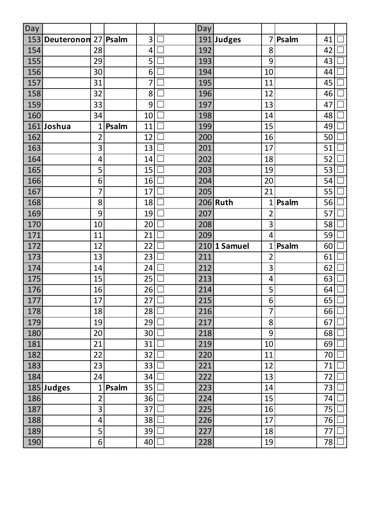| Day |            |                |       |                 | Day |              |                |       |    |        |
|-----|------------|----------------|-------|-----------------|-----|--------------|----------------|-------|----|--------|
| 153 | Deuteronon | 27             | Psalm | 3               |     | 191 Judges   | 7              | Psalm | 41 |        |
| 154 |            | 28             |       | 4               | 192 |              | 8              |       | 42 |        |
| 155 |            | 29             |       | 5               | 193 |              | 9              |       | 43 |        |
| 156 |            | 30             |       | 6               | 194 |              | 10             |       | 44 |        |
| 157 |            | 31             |       | 7               | 195 |              | 11             |       | 45 |        |
| 158 |            | 32             |       | 8               | 196 |              | 12             |       | 46 |        |
| 159 |            | 33             |       | 9               | 197 |              | 13             |       | 47 |        |
| 160 |            | 34             |       | 10              | 198 |              | 14             |       | 48 |        |
|     | 161 Joshua | $\mathbf{1}$   | Psalm | 11              | 199 |              | 15             |       | 49 |        |
| 162 |            | 2              |       | 12              | 200 |              | 16             |       | 50 |        |
| 163 |            | 3              |       | 13              | 201 |              | 17             |       | 51 |        |
| 164 |            | 4              |       | 14              | 202 |              | 18             |       | 52 |        |
| 165 |            | 5              |       | 15              | 203 |              | 19             |       | 53 |        |
| 166 |            | 6              |       | 16              | 204 |              | 20             |       | 54 |        |
| 167 |            | 7              |       | 17              | 205 |              | 21             |       | 55 |        |
| 168 |            | 8              |       | 18              |     | 206 Ruth     | $\mathbf{1}$   | Psalm | 56 |        |
| 169 |            | 9              |       | 19              | 207 |              | 2              |       | 57 |        |
| 170 |            | 10             |       | 20              | 208 |              | 3              |       | 58 |        |
| 171 |            | 11             |       | 21              | 209 |              | 4              |       | 59 |        |
| 172 |            | 12             |       | 22              |     | 210 1 Samuel | 1              | Psalm | 60 |        |
| 173 |            | 13             |       | 23              | 211 |              | $\overline{2}$ |       | 61 |        |
| 174 |            | 14             |       | 24              | 212 |              | 3              |       | 62 |        |
| 175 |            | 15             |       | 25              | 213 |              | 4              |       | 63 |        |
| 176 |            | 16             |       | 26              | 214 |              | 5              |       | 64 |        |
| 177 |            | 17             |       | 27              | 215 |              | 6              |       | 65 |        |
| 178 |            | 18             |       | $28$ $\Box$     | 216 |              | $\overline{7}$ |       | 66 | $\Box$ |
| 179 |            | 19             |       | 29              | 217 |              | 8              |       | 67 |        |
| 180 |            | 20             |       | 30 <sup>°</sup> | 218 |              | 9              |       | 68 |        |
| 181 |            | 21             |       | 31              | 219 |              | 10             |       | 69 |        |
| 182 |            | 22             |       | 32              | 220 |              | 11             |       | 70 |        |
| 183 |            | 23             |       | 33              | 221 |              | 12             |       | 71 |        |
| 184 |            | 24             |       | 34              | 222 |              | 13             |       | 72 |        |
|     | 185 Judges | $\mathbf{1}$   | Psalm | 35              | 223 |              | 14             |       | 73 |        |
| 186 |            | $\overline{2}$ |       | 36              | 224 |              | 15             |       | 74 |        |
| 187 |            | 3              |       | 37              | 225 |              | 16             |       | 75 |        |
| 188 |            | 4              |       | 38              | 226 |              | 17             |       | 76 |        |
| 189 |            | 5              |       | 39              | 227 |              | 18             |       | 77 |        |
| 190 |            | 6              |       | 40              | 228 |              | 19             |       | 78 |        |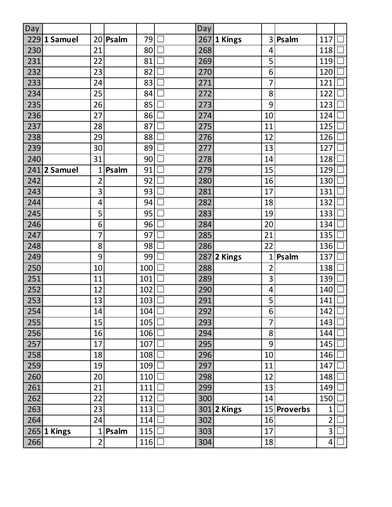| Day |              |                 |       |     | Day |             |                |             |                |  |
|-----|--------------|-----------------|-------|-----|-----|-------------|----------------|-------------|----------------|--|
| 229 | 1 Samuel     | 20              | Psalm | 79  | 267 | 1 Kings     | 3              | Psalm       | 117            |  |
| 230 |              | 21              |       | 80  | 268 |             | 4              |             | 118            |  |
| 231 |              | 22              |       | 81  | 269 |             | 5              |             | 119            |  |
| 232 |              | 23              |       | 82  | 270 |             | 6              |             | 120            |  |
| 233 |              | 24              |       | 83  | 271 |             | 7              |             | 121            |  |
| 234 |              | 25              |       | 84  | 272 |             | 8              |             | 122            |  |
| 235 |              | 26              |       | 85  | 273 |             | 9              |             | 123            |  |
| 236 |              | 27              |       | 86  | 274 |             | 10             |             | 124            |  |
| 237 |              | 28              |       | 87  | 275 |             | 11             |             | 125            |  |
| 238 |              | 29              |       | 88  | 276 |             | 12             |             | 126            |  |
| 239 |              | 30              |       | 89  | 277 |             | 13             |             | 127            |  |
| 240 |              | 31              |       | 90  | 278 |             | 14             |             | 128            |  |
|     | 241 2 Samuel | 1               | Psalm | 91  | 279 |             | 15             |             | 129            |  |
| 242 |              | $\overline{2}$  |       | 92  | 280 |             | 16             |             | 130            |  |
| 243 |              | 3               |       | 93  | 281 |             | 17             |             | 131            |  |
| 244 |              | 4               |       | 94  | 282 |             | 18             |             | 132            |  |
| 245 |              | 5               |       | 95  | 283 |             | 19             |             | 133            |  |
| 246 |              | 6               |       | 96  | 284 |             | 20             |             | 134            |  |
| 247 |              | 7               |       | 97  | 285 |             | 21             |             | 135            |  |
| 248 |              | 8               |       | 98  | 286 |             | 22             |             | 136            |  |
| 249 |              | 9               |       | 99  | 287 | 2 Kings     | $\overline{1}$ | Psalm       | 137            |  |
| 250 |              | 10              |       | 100 | 288 |             | $\overline{2}$ |             | 138            |  |
| 251 |              | 11              |       | 101 | 289 |             | 3              |             | 139            |  |
| 252 |              | 12              |       | 102 | 290 |             | 4              |             | 140            |  |
| 253 |              | 13              |       | 103 | 291 |             | 5              |             | 141            |  |
| 254 |              | $\overline{14}$ |       | 104 | 292 |             | 6              |             | 142            |  |
| 255 |              | 15              |       | 105 | 293 |             | $\overline{7}$ |             | 143            |  |
| 256 |              | 16              |       | 106 | 294 |             | 8              |             | 144            |  |
| 257 |              | 17              |       | 107 | 295 |             | 9              |             | 145            |  |
| 258 |              | 18              |       | 108 | 296 |             | 10             |             | 146            |  |
| 259 |              | 19              |       | 109 | 297 |             | 11             |             | 147            |  |
| 260 |              | 20              |       | 110 | 298 |             | 12             |             | 148            |  |
| 261 |              | 21              |       | 111 | 299 |             | 13             |             | 149            |  |
| 262 |              | 22              |       | 112 | 300 |             | 14             |             | 150            |  |
| 263 |              | 23              |       | 113 |     | 301 2 Kings |                | 15 Proverbs | $\mathbf 1$    |  |
| 264 |              | 24              |       | 114 | 302 |             | 16             |             | $\overline{2}$ |  |
|     | 265 1 Kings  | 1               | Psalm | 115 | 303 |             | 17             |             | 3              |  |
| 266 |              | $\overline{2}$  |       | 116 | 304 |             | 18             |             | 4              |  |